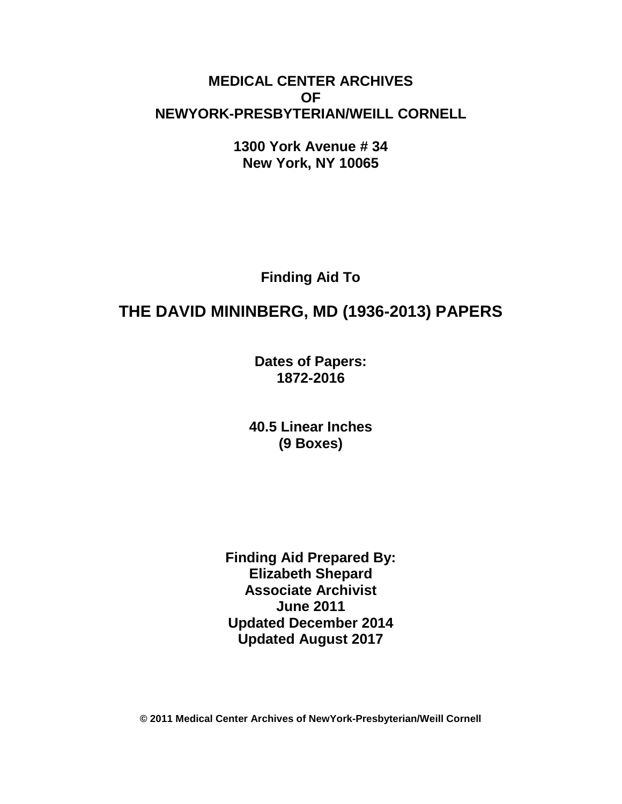# **MEDICAL CENTER ARCHIVES OF NEWYORK-PRESBYTERIAN/WEILL CORNELL**

**1300 York Avenue # 34 New York, NY 10065**

**Finding Aid To**

# **THE DAVID MININBERG, MD (1936-2013) PAPERS**

**Dates of Papers: 1872-2016**

**40.5 Linear Inches (9 Boxes)**

**Finding Aid Prepared By: Elizabeth Shepard Associate Archivist June 2011 Updated December 2014 Updated August 2017**

**© 2011 Medical Center Archives of NewYork-Presbyterian/Weill Cornell**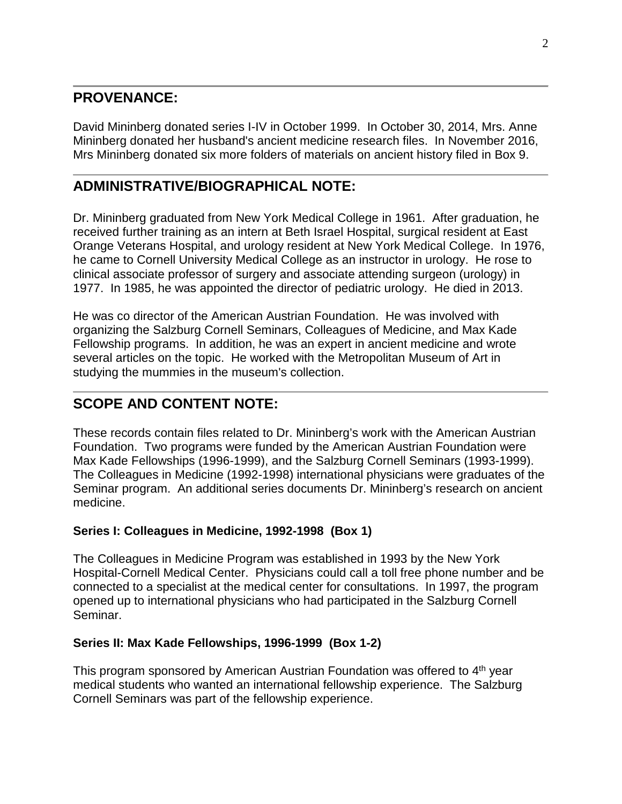## **PROVENANCE:**

David Mininberg donated series I-IV in October 1999. In October 30, 2014, Mrs. Anne Mininberg donated her husband's ancient medicine research files. In November 2016, Mrs Mininberg donated six more folders of materials on ancient history filed in Box 9.

# **ADMINISTRATIVE/BIOGRAPHICAL NOTE:**

Dr. Mininberg graduated from New York Medical College in 1961. After graduation, he received further training as an intern at Beth Israel Hospital, surgical resident at East Orange Veterans Hospital, and urology resident at New York Medical College. In 1976, he came to Cornell University Medical College as an instructor in urology. He rose to clinical associate professor of surgery and associate attending surgeon (urology) in 1977. In 1985, he was appointed the director of pediatric urology. He died in 2013.

He was co director of the American Austrian Foundation. He was involved with organizing the Salzburg Cornell Seminars, Colleagues of Medicine, and Max Kade Fellowship programs. In addition, he was an expert in ancient medicine and wrote several articles on the topic. He worked with the Metropolitan Museum of Art in studying the mummies in the museum's collection.

# **SCOPE AND CONTENT NOTE:**

These records contain files related to Dr. Mininberg's work with the American Austrian Foundation. Two programs were funded by the American Austrian Foundation were Max Kade Fellowships (1996-1999), and the Salzburg Cornell Seminars (1993-1999). The Colleagues in Medicine (1992-1998) international physicians were graduates of the Seminar program. An additional series documents Dr. Mininberg's research on ancient medicine.

## **Series I: Colleagues in Medicine, 1992-1998 (Box 1)**

The Colleagues in Medicine Program was established in 1993 by the New York Hospital-Cornell Medical Center. Physicians could call a toll free phone number and be connected to a specialist at the medical center for consultations. In 1997, the program opened up to international physicians who had participated in the Salzburg Cornell Seminar.

## **Series II: Max Kade Fellowships, 1996-1999 (Box 1-2)**

This program sponsored by American Austrian Foundation was offered to 4th year medical students who wanted an international fellowship experience. The Salzburg Cornell Seminars was part of the fellowship experience.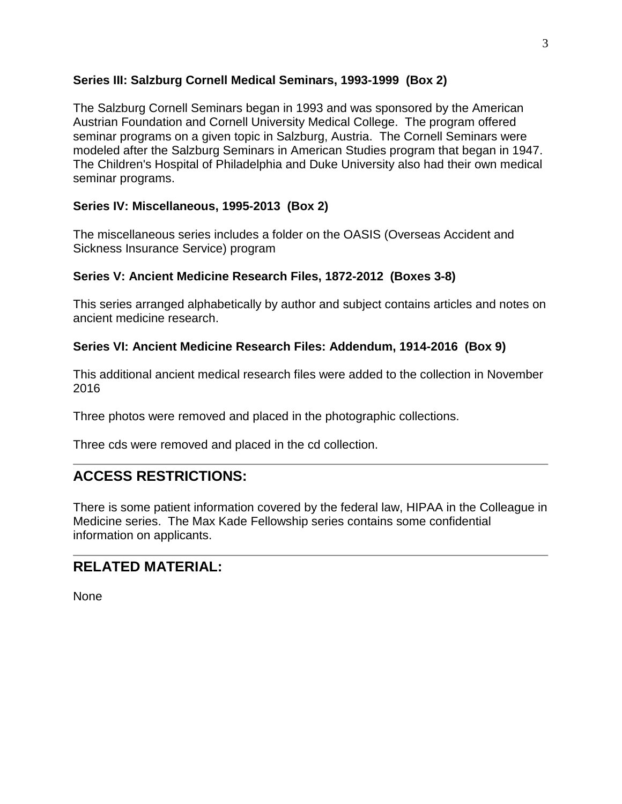## **Series III: Salzburg Cornell Medical Seminars, 1993-1999 (Box 2)**

The Salzburg Cornell Seminars began in 1993 and was sponsored by the American Austrian Foundation and Cornell University Medical College. The program offered seminar programs on a given topic in Salzburg, Austria. The Cornell Seminars were modeled after the Salzburg Seminars in American Studies program that began in 1947. The Children's Hospital of Philadelphia and Duke University also had their own medical seminar programs.

## **Series IV: Miscellaneous, 1995-2013 (Box 2)**

The miscellaneous series includes a folder on the OASIS (Overseas Accident and Sickness Insurance Service) program

## **Series V: Ancient Medicine Research Files, 1872-2012 (Boxes 3-8)**

This series arranged alphabetically by author and subject contains articles and notes on ancient medicine research.

## **Series VI: Ancient Medicine Research Files: Addendum, 1914-2016 (Box 9)**

This additional ancient medical research files were added to the collection in November 2016

Three photos were removed and placed in the photographic collections.

Three cds were removed and placed in the cd collection.

# **ACCESS RESTRICTIONS:**

There is some patient information covered by the federal law, HIPAA in the Colleague in Medicine series. The Max Kade Fellowship series contains some confidential information on applicants.

## **RELATED MATERIAL:**

None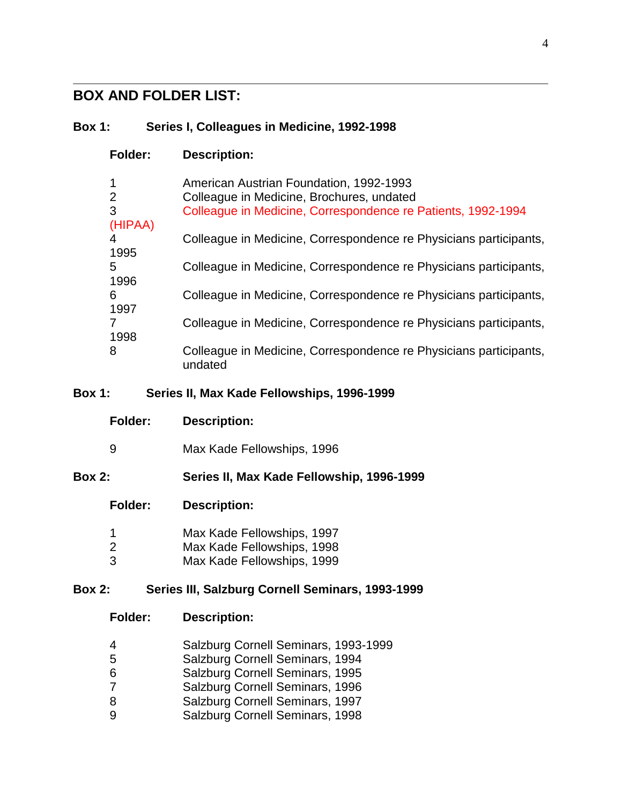# **BOX AND FOLDER LIST:**

## **Box 1: Series I, Colleagues in Medicine, 1992-1998**

| <b>Folder:</b> | <b>Description:</b>                                               |
|----------------|-------------------------------------------------------------------|
| $\mathbf 1$    | <b>American Austrian Foundation, 1992-1993</b>                    |
| 2              | Colleague in Medicine, Brochures, undated                         |
| 3              | Colleague in Medicine, Correspondence re Patients, 1992-1994      |
| (HIPAA)        |                                                                   |
| 4              | Colleague in Medicine, Correspondence re Physicians participants, |
| 1995           |                                                                   |
| 5              | Colleague in Medicine, Correspondence re Physicians participants, |
| 1996           |                                                                   |
| 6              | Colleague in Medicine, Correspondence re Physicians participants, |
| 1997           |                                                                   |
| 7              | Colleague in Medicine, Correspondence re Physicians participants, |
| 1998           |                                                                   |
| 8              | Colleague in Medicine, Correspondence re Physicians participants, |
|                | undated                                                           |

## **Box 1: Series II, Max Kade Fellowships, 1996-1999**

|               | Folder:        | <b>Description:</b>                                                                    |
|---------------|----------------|----------------------------------------------------------------------------------------|
| 9             |                | Max Kade Fellowships, 1996                                                             |
| <b>Box 2:</b> |                | Series II, Max Kade Fellowship, 1996-1999                                              |
|               | Folder:        | <b>Description:</b>                                                                    |
| 2<br>3        |                | Max Kade Fellowships, 1997<br>Max Kade Fellowships, 1998<br>Max Kade Fellowships, 1999 |
| <b>Box 2:</b> |                | Series III, Salzburg Cornell Seminars, 1993-1999                                       |
|               | <b>Folder:</b> | <b>Description:</b>                                                                    |

- Salzburg Cornell Seminars, 1993-1999
- Salzburg Cornell Seminars, 1994
- Salzburg Cornell Seminars, 1995
- Salzburg Cornell Seminars, 1996
- 8 Salzburg Cornell Seminars, 1997<br>9 Salzburg Cornell Seminars, 1998
- Salzburg Cornell Seminars, 1998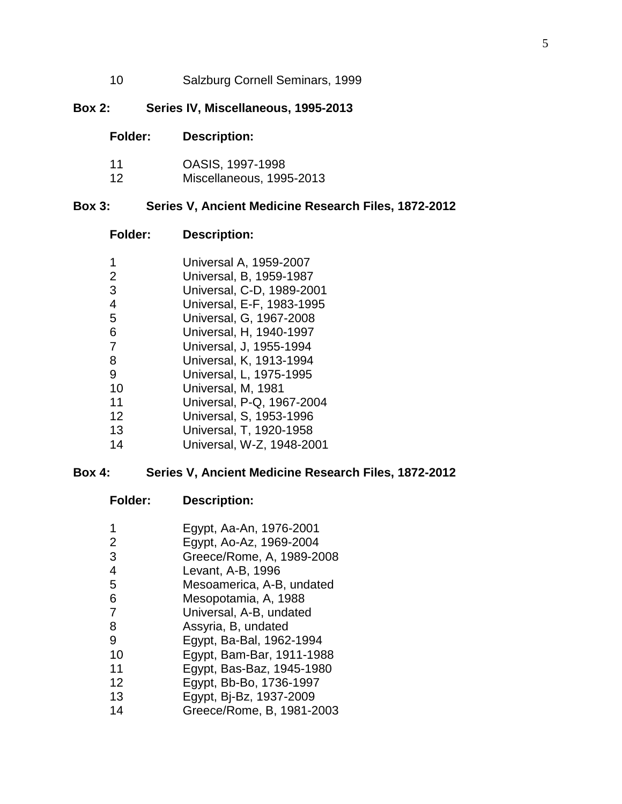Salzburg Cornell Seminars, 1999

#### **Box 2: Series IV, Miscellaneous, 1995-2013**

| <b>Folder:</b> | <b>Description:</b> |
|----------------|---------------------|
|                |                     |

- OASIS, 1997-1998
- Miscellaneous, 1995-2013

#### **Box 3: Series V, Ancient Medicine Research Files, 1872-2012**

#### **Folder: Description:**

| 1 | Universal A, 1959-2007 |
|---|------------------------|
|   | .                      |

- Universal, B, 1959-1987
- Universal, C-D, 1989-2001
- Universal, E-F, 1983-1995
- Universal, G, 1967-2008
- Universal, H, 1940-1997
- Universal, J, 1955-1994
- Universal, K, 1913-1994
- Universal, L, 1975-1995
- Universal, M, 1981
- Universal, P-Q, 1967-2004
- Universal, S, 1953-1996
- Universal, T, 1920-1958
- Universal, W-Z, 1948-2001

#### **Box 4: Series V, Ancient Medicine Research Files, 1872-2012**

#### **Folder: Description:**

- Egypt, Aa-An, 1976-2001
- Egypt, Ao-Az, 1969-2004
- Greece/Rome, A, 1989-2008
- Levant, A-B, 1996
- Mesoamerica, A-B, undated
- Mesopotamia, A, 1988
- Universal, A-B, undated
- Assyria, B, undated
- Egypt, Ba-Bal, 1962-1994
- Egypt, Bam-Bar, 1911-1988
- Egypt, Bas-Baz, 1945-1980
- Egypt, Bb-Bo, 1736-1997
- Egypt, Bj-Bz, 1937-2009
- Greece/Rome, B, 1981-2003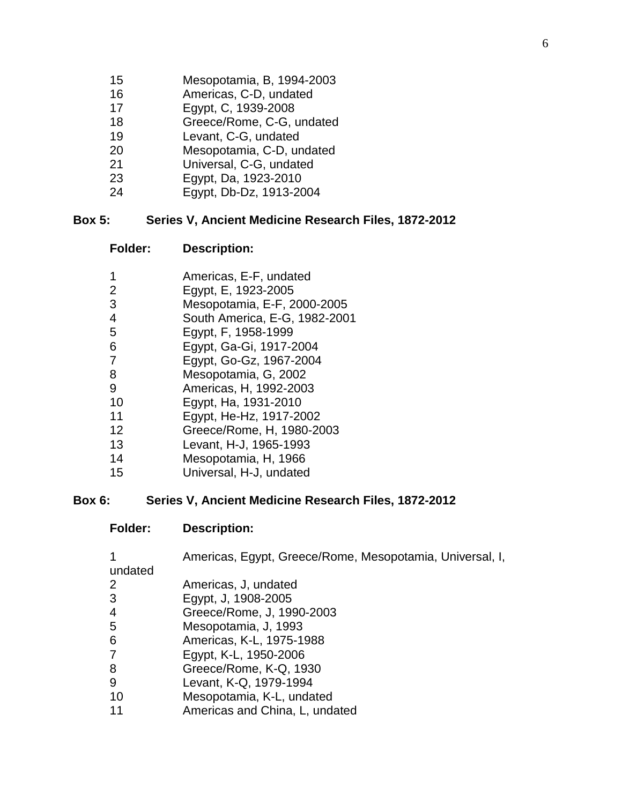- Mesopotamia, B, 1994-2003
- Americas, C-D, undated
- Egypt, C, 1939-2008
- Greece/Rome, C-G, undated
- Levant, C-G, undated
- Mesopotamia, C-D, undated
- Universal, C-G, undated
- Egypt, Da, 1923-2010
- Egypt, Db-Dz, 1913-2004

#### **Box 5: Series V, Ancient Medicine Research Files, 1872-2012**

- **Folder: Description:**
- Americas, E-F, undated
- Egypt, E, 1923-2005
- Mesopotamia, E-F, 2000-2005
- South America, E-G, 1982-2001
- Egypt, F, 1958-1999
- Egypt, Ga-Gi, 1917-2004
- Egypt, Go-Gz, 1967-2004
- Mesopotamia, G, 2002
- Americas, H, 1992-2003
- Egypt, Ha, 1931-2010
- Egypt, He-Hz, 1917-2002
- Greece/Rome, H, 1980-2003
- Levant, H-J, 1965-1993
- Mesopotamia, H, 1966
- Universal, H-J, undated

#### **Box 6: Series V, Ancient Medicine Research Files, 1872-2012**

**Folder: Description:**

| 1              | Americas, Egypt, Greece/Rome, Mesopotamia, Universal, I, |
|----------------|----------------------------------------------------------|
| undated        |                                                          |
| $\overline{2}$ | Americas, J, undated                                     |
| 3              | Egypt, J, 1908-2005                                      |
| 4              | Greece/Rome, J, 1990-2003                                |
| 5              | Mesopotamia, J, 1993                                     |
| 6              | Americas, K-L, 1975-1988                                 |
| 7              | Egypt, K-L, 1950-2006                                    |
| 8              | Greece/Rome, K-Q, 1930                                   |
| 9              | Levant, K-Q, 1979-1994                                   |
| 10             | Mesopotamia, K-L, undated                                |
| 11             | Americas and China, L, undated                           |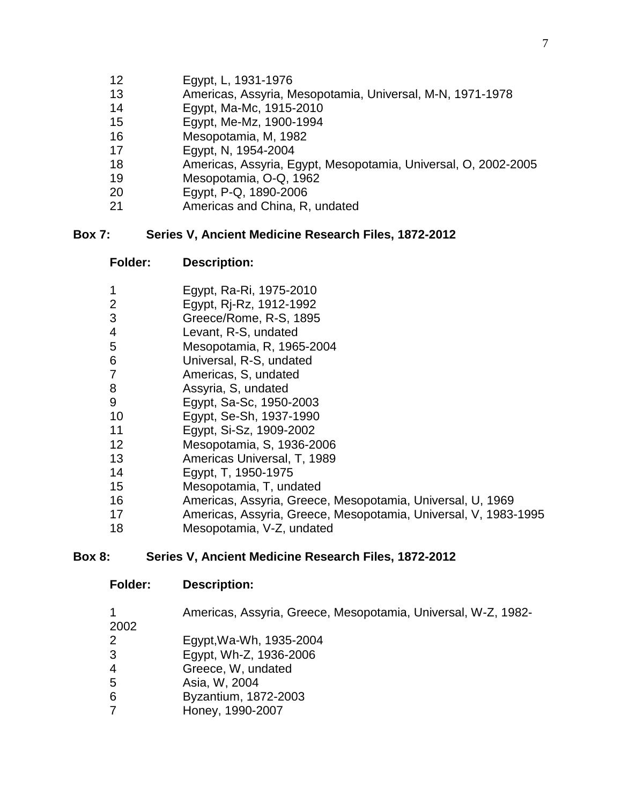- Egypt, L, 1931-1976
- Americas, Assyria, Mesopotamia, Universal, M-N, 1971-1978
- Egypt, Ma-Mc, 1915-2010
- Egypt, Me-Mz, 1900-1994
- Mesopotamia, M, 1982
- Egypt, N, 1954-2004
- Americas, Assyria, Egypt, Mesopotamia, Universal, O, 2002-2005
- Mesopotamia, O-Q, 1962
- Egypt, P-Q, 1890-2006
- Americas and China, R, undated

### **Box 7: Series V, Ancient Medicine Research Files, 1872-2012**

#### **Folder: Description:**

- Egypt, Ra-Ri, 1975-2010
- Egypt, Rj-Rz, 1912-1992
- Greece/Rome, R-S, 1895
- Levant, R-S, undated
- Mesopotamia, R, 1965-2004
- Universal, R-S, undated
- Americas, S, undated
- Assyria, S, undated
- Egypt, Sa-Sc, 1950-2003
- Egypt, Se-Sh, 1937-1990
- Egypt, Si-Sz, 1909-2002
- Mesopotamia, S, 1936-2006
- Americas Universal, T, 1989
- Egypt, T, 1950-1975
- Mesopotamia, T, undated
- Americas, Assyria, Greece, Mesopotamia, Universal, U, 1969
- Americas, Assyria, Greece, Mesopotamia, Universal, V, 1983-1995
- Mesopotamia, V-Z, undated

### **Box 8: Series V, Ancient Medicine Research Files, 1872-2012**

#### **Folder: Description:**

Americas, Assyria, Greece, Mesopotamia, Universal, W-Z, 1982-

- 
- Egypt,Wa-Wh, 1935-2004
- Egypt, Wh-Z, 1936-2006
- Greece, W, undated
- Asia, W, 2004
- Byzantium, 1872-2003
- Honey, 1990-2007